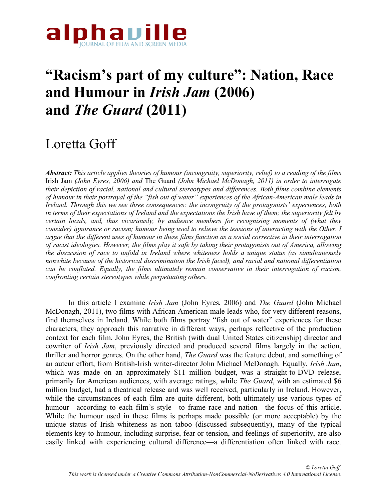

# **"Racism's part of my culture": Nation, Race and Humour in** *Irish Jam* **(2006) and** *The Guard* **(2011)**

# Loretta Goff

*Abstract: This article applies theories of humour (incongruity, superiority, relief) to a reading of the films*  Irish Jam *(John Eyres, 2006) and* The Guard *(John Michael McDonagh, 2011) in order to interrogate their depiction of racial, national and cultural stereotypes and differences. Both films combine elements of humour in their portrayal of the "fish out of water" experiences of the African-American male leads in Ireland. Through this we see three consequences: the incongruity of the protagonists' experiences, both in terms of their expectations of Ireland and the expectations the Irish have of them; the superiority felt by certain locals, and, thus vicariously, by audience members for recognising moments of (what they consider) ignorance or racism; humour being used to relieve the tensions of interacting with the Other. I argue that the different uses of humour in these films function as a social corrective in their interrogation of racist ideologies. However, the films play it safe by taking their protagonists out of America, allowing the discussion of race to unfold in Ireland where whiteness holds a unique status (as simultaneously nonwhite because of the historical discrimination the Irish faced), and racial and national differentiation can be conflated. Equally, the films ultimately remain conservative in their interrogation of racism, confronting certain stereotypes while perpetuating others.*

In this article I examine *Irish Jam* (John Eyres, 2006) and *The Guard* (John Michael McDonagh, 2011), two films with African-American male leads who, for very different reasons, find themselves in Ireland. While both films portray "fish out of water" experiences for these characters, they approach this narrative in different ways, perhaps reflective of the production context for each film. John Eyres, the British (with dual United States citizenship) director and cowriter of *Irish Jam*, previously directed and produced several films largely in the action, thriller and horror genres. On the other hand, *The Guard* was the feature debut, and something of an auteur effort, from British-Irish writer-director John Michael McDonagh. Equally, *Irish Jam*, which was made on an approximately \$11 million budget, was a straight-to-DVD release, primarily for American audiences, with average ratings, while *The Guard*, with an estimated \$6 million budget, had a theatrical release and was well received, particularly in Ireland. However, while the circumstances of each film are quite different, both ultimately use various types of humour—according to each film's style—to frame race and nation—the focus of this article. While the humour used in these films is perhaps made possible (or more acceptable) by the unique status of Irish whiteness as non taboo (discussed subsequently), many of the typical elements key to humour, including surprise, fear or tension, and feelings of superiority, are also easily linked with experiencing cultural difference—a differentiation often linked with race.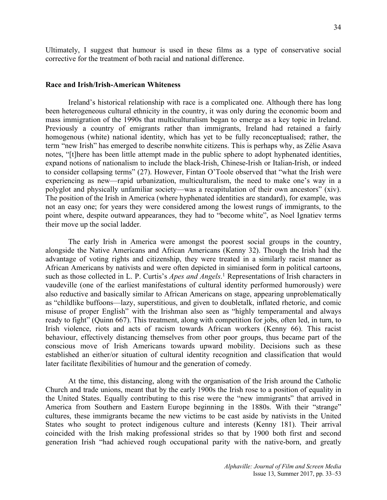Ultimately, I suggest that humour is used in these films as a type of conservative social corrective for the treatment of both racial and national difference.

#### **Race and Irish/Irish-American Whiteness**

Ireland's historical relationship with race is a complicated one. Although there has long been heterogeneous cultural ethnicity in the country, it was only during the economic boom and mass immigration of the 1990s that multiculturalism began to emerge as a key topic in Ireland. Previously a country of emigrants rather than immigrants, Ireland had retained a fairly homogenous (white) national identity, which has yet to be fully reconceptualised; rather, the term "new Irish" has emerged to describe nonwhite citizens. This is perhaps why, as Zélie Asava notes, "[t]here has been little attempt made in the public sphere to adopt hyphenated identities, expand notions of nationalism to include the black-Irish, Chinese-Irish or Italian-Irish, or indeed to consider collapsing terms" (27). However, Fintan O'Toole observed that "what the Irish were experiencing as new—rapid urbanization, multiculturalism, the need to make one's way in a polyglot and physically unfamiliar society—was a recapitulation of their own ancestors" (xiv). The position of the Irish in America (where hyphenated identities are standard), for example, was not an easy one; for years they were considered among the lowest rungs of immigrants, to the point where, despite outward appearances, they had to "become white", as Noel Ignatiev terms their move up the social ladder.

The early Irish in America were amongst the poorest social groups in the country, alongside the Native Americans and African Americans (Kenny 32). Though the Irish had the advantage of voting rights and citizenship, they were treated in a similarly racist manner as African Americans by nativists and were often depicted in simianised form in political cartoons, such as those collected in L. P. Curtis's *Apes and Angels*. <sup>1</sup> Representations of Irish characters in vaudeville (one of the earliest manifestations of cultural identity performed humorously) were also reductive and basically similar to African Americans on stage, appearing unproblematically as "childlike buffoons—lazy, superstitious, and given to doubletalk, inflated rhetoric, and comic misuse of proper English" with the Irishman also seen as "highly temperamental and always ready to fight" (Quinn 667). This treatment, along with competition for jobs, often led, in turn, to Irish violence, riots and acts of racism towards African workers (Kenny 66). This racist behaviour, effectively distancing themselves from other poor groups, thus became part of the conscious move of Irish Americans towards upward mobility. Decisions such as these established an either/or situation of cultural identity recognition and classification that would later facilitate flexibilities of humour and the generation of comedy.

At the time, this distancing, along with the organisation of the Irish around the Catholic Church and trade unions, meant that by the early 1900s the Irish rose to a position of equality in the United States. Equally contributing to this rise were the "new immigrants" that arrived in America from Southern and Eastern Europe beginning in the 1880s. With their "strange" cultures, these immigrants became the new victims to be cast aside by nativists in the United States who sought to protect indigenous culture and interests (Kenny 181). Their arrival coincided with the Irish making professional strides so that by 1900 both first and second generation Irish "had achieved rough occupational parity with the native-born, and greatly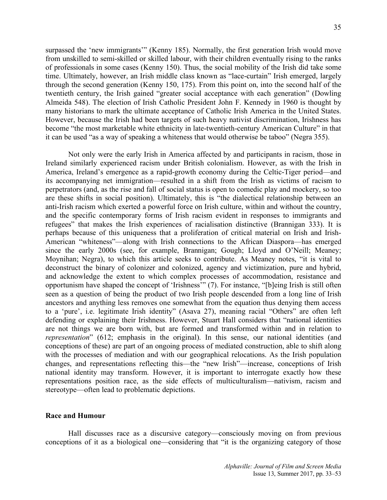surpassed the 'new immigrants'" (Kenny 185). Normally, the first generation Irish would move from unskilled to semi-skilled or skilled labour, with their children eventually rising to the ranks of professionals in some cases (Kenny 150). Thus, the social mobility of the Irish did take some time. Ultimately, however, an Irish middle class known as "lace-curtain" Irish emerged, largely through the second generation (Kenny 150, 175). From this point on, into the second half of the twentieth century, the Irish gained "greater social acceptance with each generation" (Dowling Almeida 548). The election of Irish Catholic President John F. Kennedy in 1960 is thought by many historians to mark the ultimate acceptance of Catholic Irish America in the United States. However, because the Irish had been targets of such heavy nativist discrimination, Irishness has become "the most marketable white ethnicity in late-twentieth-century American Culture" in that it can be used "as a way of speaking a whiteness that would otherwise be taboo" (Negra 355).

Not only were the early Irish in America affected by and participants in racism, those in Ireland similarly experienced racism under British colonialism. However, as with the Irish in America, Ireland's emergence as a rapid-growth economy during the Celtic-Tiger period—and its accompanying net immigration—resulted in a shift from the Irish as victims of racism to perpetrators (and, as the rise and fall of social status is open to comedic play and mockery, so too are these shifts in social position). Ultimately, this is "the dialectical relationship between an anti-Irish racism which exerted a powerful force on Irish culture, within and without the country, and the specific contemporary forms of Irish racism evident in responses to immigrants and refugees" that makes the Irish experiences of racialisation distinctive (Brannigan 333). It is perhaps because of this uniqueness that a proliferation of critical material on Irish and Irish-American "whiteness"—along with Irish connections to the African Diaspora—has emerged since the early 2000s (see, for example, Brannigan; Gough; Lloyd and O'Neill; Meaney; Moynihan; Negra), to which this article seeks to contribute. As Meaney notes, "it is vital to deconstruct the binary of colonizer and colonized, agency and victimization, pure and hybrid, and acknowledge the extent to which complex processes of accommodation, resistance and opportunism have shaped the concept of 'Irishness'" (7). For instance, "[b]eing Irish is still often seen as a question of being the product of two Irish people descended from a long line of Irish ancestors and anything less removes one somewhat from the equation thus denying them access to a 'pure', i.e. legitimate Irish identity" (Asava 27), meaning racial "Others" are often left defending or explaining their Irishness. However, Stuart Hall considers that "national identities are not things we are born with, but are formed and transformed within and in relation to *representation*" (612; emphasis in the original). In this sense, our national identities (and conceptions of these) are part of an ongoing process of mediated construction, able to shift along with the processes of mediation and with our geographical relocations. As the Irish population changes, and representations reflecting this—the "new Irish"—increase, conceptions of Irish national identity may transform. However, it is important to interrogate exactly how these representations position race, as the side effects of multiculturalism—nativism, racism and stereotype—often lead to problematic depictions.

#### **Race and Humour**

Hall discusses race as a discursive category—consciously moving on from previous conceptions of it as a biological one—considering that "it is the organizing category of those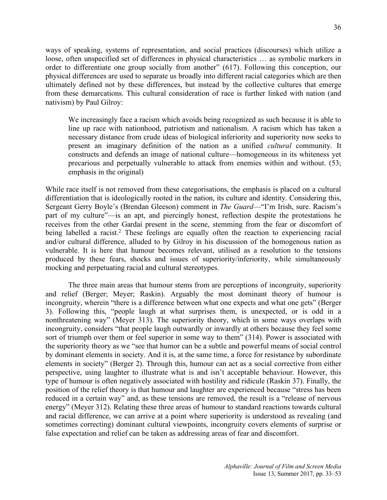ways of speaking, systems of representation, and social practices (discourses) which utilize a loose, often unspecified set of differences in physical characteristics … as symbolic markers in order to differentiate one group socially from another" (617). Following this conception, our physical differences are used to separate us broadly into different racial categories which are then ultimately defined not by these differences, but instead by the collective cultures that emerge from these demarcations. This cultural consideration of race is further linked with nation (and nativism) by Paul Gilroy:

We increasingly face a racism which avoids being recognized as such because it is able to line up race with nationhood, patriotism and nationalism. A racism which has taken a necessary distance from crude ideas of biological inferiority and superiority now seeks to present an imaginary definition of the nation as a unified *cultural* community. It constructs and defends an image of national culture—homogeneous in its whiteness yet precarious and perpetually vulnerable to attack from enemies within and without. (53; emphasis in the original)

While race itself is not removed from these categorisations, the emphasis is placed on a cultural differentiation that is ideologically rooted in the nation, its culture and identity. Considering this, Sergeant Gerry Boyle's (Brendan Gleeson) comment in *The Guard*—"I'm Irish, sure. Racism's part of my culture"—is an apt, and piercingly honest, reflection despite the protestations he receives from the other Gardaí present in the scene, stemming from the fear or discomfort of being labelled a racist.<sup>2</sup> These feelings are equally often the reaction to experiencing racial and/or cultural difference, alluded to by Gilroy in his discussion of the homogenous nation as vulnerable. It is here that humour becomes relevant, utilised as a resolution to the tensions produced by these fears, shocks and issues of superiority/inferiority, while simultaneously mocking and perpetuating racial and cultural stereotypes.

The three main areas that humour stems from are perceptions of incongruity, superiority and relief (Berger; Meyer; Raskin). Arguably the most dominant theory of humour is incongruity, wherein "there is a difference between what one expects and what one gets" (Berger 3). Following this, "people laugh at what surprises them, is unexpected, or is odd in a nonthreatening way" (Meyer 313). The superiority theory, which in some ways overlaps with incongruity, considers "that people laugh outwardly or inwardly at others because they feel some sort of triumph over them or feel superior in some way to them" (314). Power is associated with the superiority theory as we "see that humor can be a subtle and powerful means of social control by dominant elements in society. And it is, at the same time, a force for resistance by subordinate elements in society" (Berger 2). Through this, humour can act as a social corrective from either perspective, using laughter to illustrate what is and isn't acceptable behaviour. However, this type of humour is often negatively associated with hostility and ridicule (Raskin 37). Finally, the position of the relief theory is that humour and laughter are experienced because "stress has been reduced in a certain way" and, as these tensions are removed, the result is a "release of nervous energy" (Meyer 312). Relating these three areas of humour to standard reactions towards cultural and racial difference, we can arrive at a point where superiority is understood as revealing (and sometimes correcting) dominant cultural viewpoints, incongruity covers elements of surprise or false expectation and relief can be taken as addressing areas of fear and discomfort.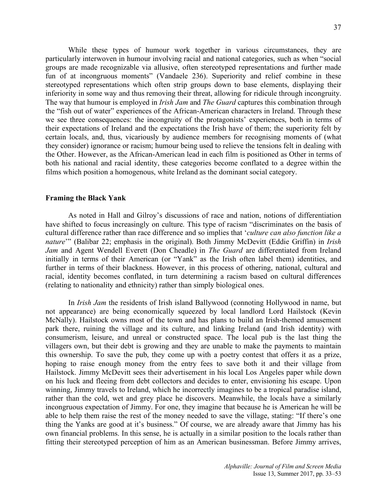While these types of humour work together in various circumstances, they are particularly interwoven in humour involving racial and national categories, such as when "social groups are made recognizable via allusive, often stereotyped representations and further made fun of at incongruous moments" (Vandaele 236). Superiority and relief combine in these stereotyped representations which often strip groups down to base elements, displaying their inferiority in some way and thus removing their threat, allowing for ridicule through incongruity. The way that humour is employed in *Irish Jam* and *The Guard* captures this combination through the "fish out of water" experiences of the African-American characters in Ireland. Through these we see three consequences: the incongruity of the protagonists' experiences, both in terms of their expectations of Ireland and the expectations the Irish have of them; the superiority felt by certain locals, and, thus, vicariously by audience members for recognising moments of (what they consider) ignorance or racism; humour being used to relieve the tensions felt in dealing with the Other. However, as the African-American lead in each film is positioned as Other in terms of both his national and racial identity, these categories become conflated to a degree within the films which position a homogenous, white Ireland as the dominant social category.

## **Framing the Black Yank**

As noted in Hall and Gilroy's discussions of race and nation, notions of differentiation have shifted to focus increasingly on culture. This type of racism "discriminates on the basis of cultural difference rather than race difference and so implies that '*culture can also function like a nature*'" (Balibar 22; emphasis in the original). Both Jimmy McDevitt (Eddie Griffin) in *Irish Jam* and Agent Wendell Everett (Don Cheadle) in *The Guard* are differentiated from Ireland initially in terms of their American (or "Yank" as the Irish often label them) identities, and further in terms of their blackness. However, in this process of othering, national, cultural and racial, identity becomes conflated, in turn determining a racism based on cultural differences (relating to nationality and ethnicity) rather than simply biological ones.

In *Irish Jam* the residents of Irish island Ballywood (connoting Hollywood in name, but not appearance) are being economically squeezed by local landlord Lord Hailstock (Kevin McNally). Hailstock owns most of the town and has plans to build an Irish-themed amusement park there, ruining the village and its culture, and linking Ireland (and Irish identity) with consumerism, leisure, and unreal or constructed space. The local pub is the last thing the villagers own, but their debt is growing and they are unable to make the payments to maintain this ownership. To save the pub, they come up with a poetry contest that offers it as a prize, hoping to raise enough money from the entry fees to save both it and their village from Hailstock. Jimmy McDevitt sees their advertisement in his local Los Angeles paper while down on his luck and fleeing from debt collectors and decides to enter, envisioning his escape. Upon winning, Jimmy travels to Ireland, which he incorrectly imagines to be a tropical paradise island, rather than the cold, wet and grey place he discovers. Meanwhile, the locals have a similarly incongruous expectation of Jimmy. For one, they imagine that because he is American he will be able to help them raise the rest of the money needed to save the village, stating: "If there's one thing the Yanks are good at it's business." Of course, we are already aware that Jimmy has his own financial problems. In this sense, he is actually in a similar position to the locals rather than fitting their stereotyped perception of him as an American businessman. Before Jimmy arrives,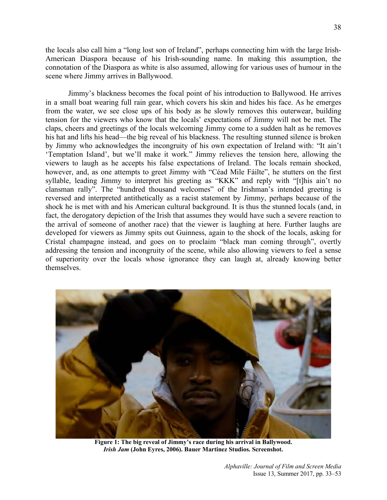the locals also call him a "long lost son of Ireland", perhaps connecting him with the large Irish-American Diaspora because of his Irish-sounding name. In making this assumption, the connotation of the Diaspora as white is also assumed, allowing for various uses of humour in the scene where Jimmy arrives in Ballywood.

Jimmy's blackness becomes the focal point of his introduction to Ballywood. He arrives in a small boat wearing full rain gear, which covers his skin and hides his face. As he emerges from the water, we see close ups of his body as he slowly removes this outerwear, building tension for the viewers who know that the locals' expectations of Jimmy will not be met. The claps, cheers and greetings of the locals welcoming Jimmy come to a sudden halt as he removes his hat and lifts his head—the big reveal of his blackness. The resulting stunned silence is broken by Jimmy who acknowledges the incongruity of his own expectation of Ireland with: "It ain't 'Temptation Island', but we'll make it work." Jimmy relieves the tension here, allowing the viewers to laugh as he accepts his false expectations of Ireland. The locals remain shocked, however, and, as one attempts to greet Jimmy with "Céad Mile Fáilte", he stutters on the first syllable, leading Jimmy to interpret his greeting as "KKK" and reply with "[t]his ain't no clansman rally". The "hundred thousand welcomes" of the Irishman's intended greeting is reversed and interpreted antithetically as a racist statement by Jimmy, perhaps because of the shock he is met with and his American cultural background. It is thus the stunned locals (and, in fact, the derogatory depiction of the Irish that assumes they would have such a severe reaction to the arrival of someone of another race) that the viewer is laughing at here. Further laughs are developed for viewers as Jimmy spits out Guinness, again to the shock of the locals, asking for Cristal champagne instead, and goes on to proclaim "black man coming through", overtly addressing the tension and incongruity of the scene, while also allowing viewers to feel a sense of superiority over the locals whose ignorance they can laugh at, already knowing better themselves.



**Figure 1: The big reveal of Jimmy's race during his arrival in Ballywood.** *Irish Jam* **(John Eyres, 2006). Bauer Martinez Studios. Screenshot.**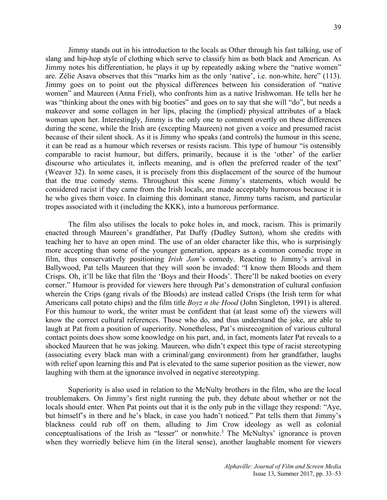Jimmy stands out in his introduction to the locals as Other through his fast talking, use of slang and hip-hop style of clothing which serve to classify him as both black and American. As Jimmy notes his differentiation, he plays it up by repeatedly asking where the "native women" are. Zélie Asava observes that this "marks him as the only 'native', i.e. non-white, here" (113). Jimmy goes on to point out the physical differences between his consideration of "native women" and Maureen (Anna Friel), who confronts him as a native Irishwoman. He tells her he was "thinking about the ones with big booties" and goes on to say that she will "do", but needs a makeover and some collagen in her lips, placing the (implied) physical attributes of a black woman upon her. Interestingly, Jimmy is the only one to comment overtly on these differences during the scene, while the Irish are (excepting Maureen) not given a voice and presumed racist because of their silent shock. As it is Jimmy who speaks (and controls) the humour in this scene, it can be read as a humour which reverses or resists racism. This type of humour "is ostensibly comparable to racist humour, but differs, primarily, because it is the 'other' of the earlier discourse who articulates it, inflects meaning, and is often the preferred reader of the text" (Weaver 32). In some cases, it is precisely from this displacement of the source of the humour that the true comedy stems. Throughout this scene Jimmy's statements, which would be considered racist if they came from the Irish locals, are made acceptably humorous because it is he who gives them voice. In claiming this dominant stance, Jimmy turns racism, and particular tropes associated with it (including the KKK), into a humorous performance.

The film also utilises the locals to poke holes in, and mock, racism. This is primarily enacted through Maureen's grandfather, Pat Duffy (Dudley Sutton), whom she credits with teaching her to have an open mind. The use of an older character like this, who is surprisingly more accepting than some of the younger generation, appears as a common comedic trope in film, thus conservatively positioning *Irish Jam*'s comedy. Reacting to Jimmy's arrival in Ballywood, Pat tells Maureen that they will soon be invaded: "I know them Bloods and them Crisps. Oh, it'll be like that film the 'Boys and their Hoods'. There'll be naked booties on every corner." Humour is provided for viewers here through Pat's demonstration of cultural confusion wherein the Crips (gang rivals of the Bloods) are instead called Crisps (the Irish term for what Americans call potato chips) and the film title *Boyz n the Hood* (John Singleton, 1991) is altered. For this humour to work, the writer must be confident that (at least some of) the viewers will know the correct cultural references. Those who do, and thus understand the joke, are able to laugh at Pat from a position of superiority. Nonetheless, Pat's misrecognition of various cultural contact points does show some knowledge on his part, and, in fact, moments later Pat reveals to a shocked Maureen that he was joking. Maureen, who didn't expect this type of racist stereotyping (associating every black man with a criminal/gang environment) from her grandfather, laughs with relief upon learning this and Pat is elevated to the same superior position as the viewer, now laughing with them at the ignorance involved in negative stereotyping.

Superiority is also used in relation to the McNulty brothers in the film, who are the local troublemakers. On Jimmy's first night running the pub, they debate about whether or not the locals should enter. When Pat points out that it is the only pub in the village they respond: "Aye, but himself's in there and he's black, in case you hadn't noticed." Pat tells them that Jimmy's blackness could rub off on them, alluding to Jim Crow ideology as well as colonial conceptualisations of the Irish as "lesser" or nonwhite.<sup>3</sup> The McNultys' ignorance is proven when they worriedly believe him (in the literal sense), another laughable moment for viewers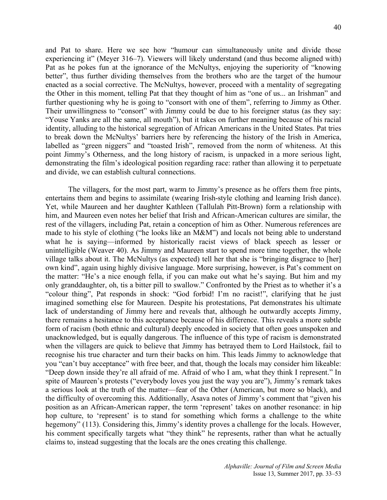and Pat to share. Here we see how "humour can simultaneously unite and divide those experiencing it" (Meyer 316–7). Viewers will likely understand (and thus become aligned with) Pat as he pokes fun at the ignorance of the McNultys, enjoying the superiority of "knowing better", thus further dividing themselves from the brothers who are the target of the humour enacted as a social corrective. The McNultys, however, proceed with a mentality of segregating the Other in this moment, telling Pat that they thought of him as "one of us... an Irishman" and further questioning why he is going to "consort with one of them", referring to Jimmy as Other. Their unwillingness to "consort" with Jimmy could be due to his foreigner status (as they say: "Youse Yanks are all the same, all mouth"), but it takes on further meaning because of his racial identity, alluding to the historical segregation of African Americans in the United States. Pat tries to break down the McNultys' barriers here by referencing the history of the Irish in America, labelled as "green niggers" and "toasted Irish", removed from the norm of whiteness. At this point Jimmy's Otherness, and the long history of racism, is unpacked in a more serious light, demonstrating the film's ideological position regarding race: rather than allowing it to perpetuate and divide, we can establish cultural connections.

The villagers, for the most part, warm to Jimmy's presence as he offers them free pints, entertains them and begins to assimilate (wearing Irish-style clothing and learning Irish dance). Yet, while Maureen and her daughter Kathleen (Tallulah Pitt-Brown) form a relationship with him, and Maureen even notes her belief that Irish and African-American cultures are similar, the rest of the villagers, including Pat, retain a conception of him as Other. Numerous references are made to his style of clothing ("he looks like an M&M") and locals not being able to understand what he is saying—informed by historically racist views of black speech as lesser or unintelligible (Weaver 40). As Jimmy and Maureen start to spend more time together, the whole village talks about it. The McNultys (as expected) tell her that she is "bringing disgrace to [her] own kind", again using highly divisive language. More surprising, however, is Pat's comment on the matter: "He's a nice enough fella, if you can make out what he's saying. But him and my only granddaughter, oh, tis a bitter pill to swallow." Confronted by the Priest as to whether it's a "colour thing", Pat responds in shock: "God forbid! I'm no racist!", clarifying that he just imagined something else for Maureen. Despite his protestations, Pat demonstrates his ultimate lack of understanding of Jimmy here and reveals that, although he outwardly accepts Jimmy, there remains a hesitance to this acceptance because of his difference. This reveals a more subtle form of racism (both ethnic and cultural) deeply encoded in society that often goes unspoken and unacknowledged, but is equally dangerous. The influence of this type of racism is demonstrated when the villagers are quick to believe that Jimmy has betrayed them to Lord Hailstock, fail to recognise his true character and turn their backs on him. This leads Jimmy to acknowledge that you "can't buy acceptance" with free beer, and that, though the locals may consider him likeable: "Deep down inside they're all afraid of me. Afraid of who I am, what they think I represent." In spite of Maureen's protests ("everybody loves you just the way you are"), Jimmy's remark takes a serious look at the truth of the matter—fear of the Other (American, but more so black), and the difficulty of overcoming this. Additionally, Asava notes of Jimmy's comment that "given his position as an African-American rapper, the term 'represent' takes on another resonance: in hip hop culture, to 'represent' is to stand for something which forms a challenge to the white hegemony" (113). Considering this, Jimmy's identity proves a challenge for the locals. However, his comment specifically targets what "they think" he represents, rather than what he actually claims to, instead suggesting that the locals are the ones creating this challenge.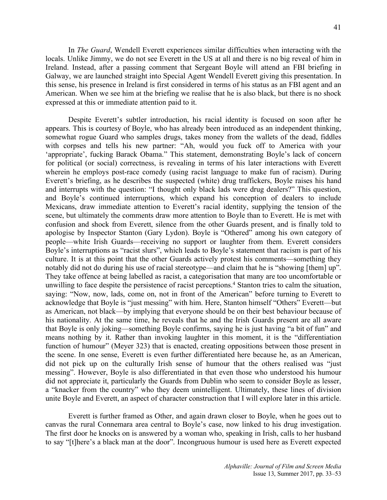In *The Guard*, Wendell Everett experiences similar difficulties when interacting with the locals. Unlike Jimmy, we do not see Everett in the US at all and there is no big reveal of him in Ireland. Instead, after a passing comment that Sergeant Boyle will attend an FBI briefing in Galway, we are launched straight into Special Agent Wendell Everett giving this presentation. In this sense, his presence in Ireland is first considered in terms of his status as an FBI agent and an American. When we see him at the briefing we realise that he is also black, but there is no shock expressed at this or immediate attention paid to it.

Despite Everett's subtler introduction, his racial identity is focused on soon after he appears. This is courtesy of Boyle, who has already been introduced as an independent thinking, somewhat rogue Guard who samples drugs, takes money from the wallets of the dead, fiddles with corpses and tells his new partner: "Ah, would you fuck off to America with your 'appropriate', fucking Barack Obama." This statement, demonstrating Boyle's lack of concern for political (or social) correctness, is revealing in terms of his later interactions with Everett wherein he employs post-race comedy (using racist language to make fun of racism). During Everett's briefing, as he describes the suspected (white) drug traffickers, Boyle raises his hand and interrupts with the question: "I thought only black lads were drug dealers?" This question, and Boyle's continued interruptions, which expand his conception of dealers to include Mexicans, draw immediate attention to Everett's racial identity, supplying the tension of the scene, but ultimately the comments draw more attention to Boyle than to Everett. He is met with confusion and shock from Everett, silence from the other Guards present, and is finally told to apologise by Inspector Stanton (Gary Lydon). Boyle is "Othered" among his own category of people—white Irish Guards—receiving no support or laughter from them. Everett considers Boyle's interruptions as "racist slurs", which leads to Boyle's statement that racism is part of his culture. It is at this point that the other Guards actively protest his comments—something they notably did not do during his use of racial stereotype—and claim that he is "showing [them] up". They take offence at being labelled as racist, a categorisation that many are too uncomfortable or unwilling to face despite the persistence of racist perceptions.<sup>4</sup> Stanton tries to calm the situation, saying: "Now, now, lads, come on, not in front of the American" before turning to Everett to acknowledge that Boyle is "just messing" with him. Here, Stanton himself "Others" Everett—but as American, not black—by implying that everyone should be on their best behaviour because of his nationality. At the same time, he reveals that he and the Irish Guards present are all aware that Boyle is only joking—something Boyle confirms, saying he is just having "a bit of fun" and means nothing by it. Rather than invoking laughter in this moment, it is the "differentiation function of humour" (Meyer 323) that is enacted, creating oppositions between those present in the scene. In one sense, Everett is even further differentiated here because he, as an American, did not pick up on the culturally Irish sense of humour that the others realised was "just messing". However, Boyle is also differentiated in that even those who understood his humour did not appreciate it, particularly the Guards from Dublin who seem to consider Boyle as lesser, a "knacker from the country" who they deem unintelligent. Ultimately, these lines of division unite Boyle and Everett, an aspect of character construction that I will explore later in this article.

Everett is further framed as Other, and again drawn closer to Boyle, when he goes out to canvas the rural Connemara area central to Boyle's case, now linked to his drug investigation. The first door he knocks on is answered by a woman who, speaking in Irish, calls to her husband to say "[t]here's a black man at the door". Incongruous humour is used here as Everett expected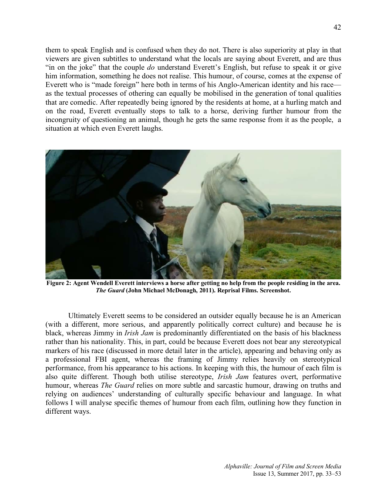them to speak English and is confused when they do not. There is also superiority at play in that viewers are given subtitles to understand what the locals are saying about Everett, and are thus "in on the joke" that the couple *do* understand Everett's English, but refuse to speak it or give him information, something he does not realise. This humour, of course, comes at the expense of Everett who is "made foreign" here both in terms of his Anglo-American identity and his race as the textual processes of othering can equally be mobilised in the generation of tonal qualities that are comedic. After repeatedly being ignored by the residents at home, at a hurling match and on the road, Everett eventually stops to talk to a horse, deriving further humour from the incongruity of questioning an animal, though he gets the same response from it as the people, a situation at which even Everett laughs.



**Figure 2: Agent Wendell Everett interviews a horse after getting no help from the people residing in the area.**  *The Guard* **(John Michael McDonagh, 2011). Reprisal Films. Screenshot.**

Ultimately Everett seems to be considered an outsider equally because he is an American (with a different, more serious, and apparently politically correct culture) and because he is black, whereas Jimmy in *Irish Jam* is predominantly differentiated on the basis of his blackness rather than his nationality. This, in part, could be because Everett does not bear any stereotypical markers of his race (discussed in more detail later in the article), appearing and behaving only as a professional FBI agent, whereas the framing of Jimmy relies heavily on stereotypical performance, from his appearance to his actions. In keeping with this, the humour of each film is also quite different. Though both utilise stereotype, *Irish Jam* features overt, performative humour, whereas *The Guard* relies on more subtle and sarcastic humour, drawing on truths and relying on audiences' understanding of culturally specific behaviour and language. In what follows I will analyse specific themes of humour from each film, outlining how they function in different ways.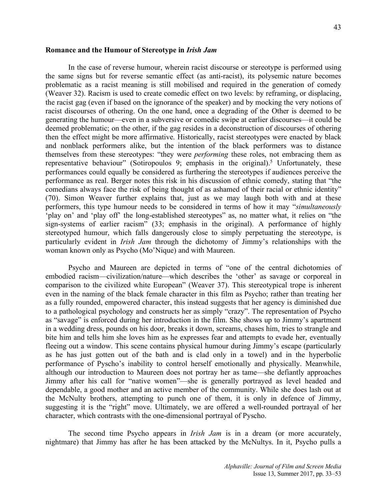#### **Romance and the Humour of Stereotype in** *Irish Jam*

In the case of reverse humour, wherein racist discourse or stereotype is performed using the same signs but for reverse semantic effect (as anti-racist), its polysemic nature becomes problematic as a racist meaning is still mobilised and required in the generation of comedy (Weaver 32). Racism is used to create comedic effect on two levels: by reframing, or displacing, the racist gag (even if based on the ignorance of the speaker) and by mocking the very notions of racist discourses of othering. On the one hand, once a degrading of the Other is deemed to be generating the humour—even in a subversive or comedic swipe at earlier discourses—it could be deemed problematic; on the other, if the gag resides in a deconstruction of discourses of othering then the effect might be more affirmative. Historically, racist stereotypes were enacted by black and nonblack performers alike, but the intention of the black performers was to distance themselves from these stereotypes: "they were *performing* these roles, not embracing them as representative behaviour" (Sotiropoulos 9; emphasis in the original).<sup>5</sup> Unfortunately, these performances could equally be considered as furthering the stereotypes if audiences perceive the performance as real. Berger notes this risk in his discussion of ethnic comedy, stating that "the comedians always face the risk of being thought of as ashamed of their racial or ethnic identity" (70). Simon Weaver further explains that, just as we may laugh both with and at these performers, this type humour needs to be considered in terms of how it may "*simultaneously*  'play on' and 'play off' the long-established stereotypes" as, no matter what, it relies on "the sign-systems of earlier racism" (33; emphasis in the original). A performance of highly stereotyped humour, which falls dangerously close to simply perpetuating the stereotype, is particularly evident in *Irish Jam* through the dichotomy of Jimmy's relationships with the woman known only as Psycho (Mo'Nique) and with Maureen.

Psycho and Maureen are depicted in terms of "one of the central dichotomies of embodied racism—civilization/nature—which describes the 'other' as savage or corporeal in comparison to the civilized white European" (Weaver 37). This stereotypical trope is inherent even in the naming of the black female character in this film as Psycho; rather than treating her as a fully rounded, empowered character, this instead suggests that her agency is diminished due to a pathological psychology and constructs her as simply "crazy". The representation of Psycho as "savage" is enforced during her introduction in the film. She shows up to Jimmy's apartment in a wedding dress, pounds on his door, breaks it down, screams, chases him, tries to strangle and bite him and tells him she loves him as he expresses fear and attempts to evade her, eventually fleeing out a window. This scene contains physical humour during Jimmy's escape (particularly as he has just gotten out of the bath and is clad only in a towel) and in the hyperbolic performance of Pyscho's inability to control herself emotionally and physically. Meanwhile, although our introduction to Maureen does not portray her as tame—she defiantly approaches Jimmy after his call for "native women"—she is generally portrayed as level headed and dependable, a good mother and an active member of the community. While she does lash out at the McNulty brothers, attempting to punch one of them, it is only in defence of Jimmy, suggesting it is the "right" move. Ultimately, we are offered a well-rounded portrayal of her character, which contrasts with the one-dimensional portrayal of Pyscho.

The second time Psycho appears in *Irish Jam* is in a dream (or more accurately, nightmare) that Jimmy has after he has been attacked by the McNultys. In it, Psycho pulls a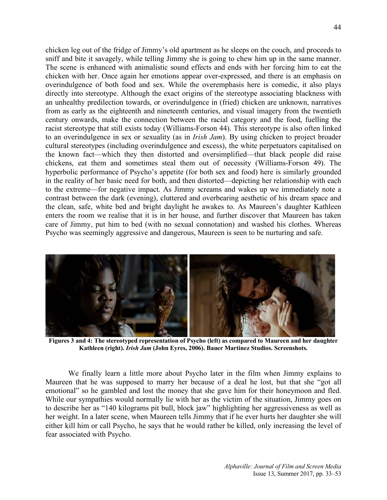chicken leg out of the fridge of Jimmy's old apartment as he sleeps on the couch, and proceeds to sniff and bite it savagely, while telling Jimmy she is going to chew him up in the same manner. The scene is enhanced with animalistic sound effects and ends with her forcing him to eat the chicken with her. Once again her emotions appear over-expressed, and there is an emphasis on overindulgence of both food and sex. While the overemphasis here is comedic, it also plays directly into stereotype. Although the exact origins of the stereotype associating blackness with an unhealthy predilection towards, or overindulgence in (fried) chicken are unknown, narratives from as early as the eighteenth and nineteenth centuries, and visual imagery from the twentieth century onwards, make the connection between the racial category and the food, fuelling the racist stereotype that still exists today (Williams-Forson 44). This stereotype is also often linked to an overindulgence in sex or sexuality (as in *Irish Jam*). By using chicken to project broader cultural stereotypes (including overindulgence and excess), the white perpetuators capitalised on the known fact—which they then distorted and oversimplified—that black people did raise chickens, eat them and sometimes steal them out of necessity (Williams-Forson 49). The hyperbolic performance of Psycho's appetite (for both sex and food) here is similarly grounded in the reality of her basic need for both, and then distorted—depicting her relationship with each to the extreme—for negative impact. As Jimmy screams and wakes up we immediately note a contrast between the dark (evening), cluttered and overbearing aesthetic of his dream space and the clean, safe, white bed and bright daylight he awakes to. As Maureen's daughter Kathleen enters the room we realise that it is in her house, and further discover that Maureen has taken care of Jimmy, put him to bed (with no sexual connotation) and washed his clothes. Whereas Psycho was seemingly aggressive and dangerous, Maureen is seen to be nurturing and safe.



**Figures 3 and 4: The stereotyped representation of Psycho (left) as compared to Maureen and her daughter Kathleen (right).** *Irish Jam* **(John Eyres, 2006). Bauer Martinez Studios. Screenshots.**

We finally learn a little more about Psycho later in the film when Jimmy explains to Maureen that he was supposed to marry her because of a deal he lost, but that she "got all emotional" so he gambled and lost the money that she gave him for their honeymoon and fled. While our sympathies would normally lie with her as the victim of the situation, Jimmy goes on to describe her as "140 kilograms pit bull, block jaw" highlighting her aggressiveness as well as her weight. In a later scene, when Maureen tells Jimmy that if he ever hurts her daughter she will either kill him or call Psycho, he says that he would rather be killed, only increasing the level of fear associated with Psycho.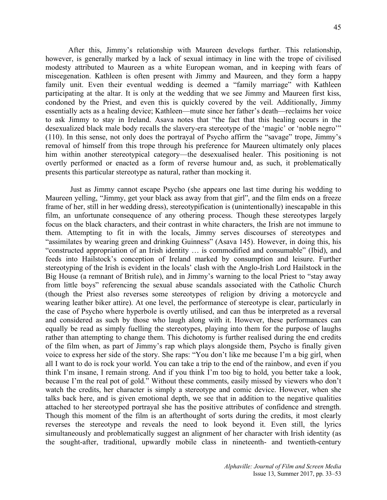After this, Jimmy's relationship with Maureen develops further. This relationship, however, is generally marked by a lack of sexual intimacy in line with the trope of civilised modesty attributed to Maureen as a white European woman, and in keeping with fears of miscegenation. Kathleen is often present with Jimmy and Maureen, and they form a happy family unit. Even their eventual wedding is deemed a "family marriage" with Kathleen participating at the altar. It is only at the wedding that we see Jimmy and Maureen first kiss, condoned by the Priest, and even this is quickly covered by the veil. Additionally, Jimmy essentially acts as a healing device; Kathleen—mute since her father's death—reclaims her voice to ask Jimmy to stay in Ireland. Asava notes that "the fact that this healing occurs in the desexualized black male body recalls the slavery-era stereotype of the 'magic' or 'noble negro'" (110). In this sense, not only does the portrayal of Psycho affirm the "savage" trope, Jimmy's removal of himself from this trope through his preference for Maureen ultimately only places him within another stereotypical category—the desexualised healer. This positioning is not overtly performed or enacted as a form of reverse humour and, as such, it problematically presents this particular stereotype as natural, rather than mocking it.

Just as Jimmy cannot escape Psycho (she appears one last time during his wedding to Maureen yelling, "Jimmy, get your black ass away from that girl", and the film ends on a freeze frame of her, still in her wedding dress), stereotypification is (unintentionally) inescapable in this film, an unfortunate consequence of any othering process. Though these stereotypes largely focus on the black characters, and their contrast in white characters, the Irish are not immune to them. Attempting to fit in with the locals, Jimmy serves discourses of stereotypes and "assimilates by wearing green and drinking Guinness" (Asava 145). However, in doing this, his "constructed appropriation of an Irish identity … is commodified and consumable" (Ibid), and feeds into Hailstock's conception of Ireland marked by consumption and leisure. Further stereotyping of the Irish is evident in the locals' clash with the Anglo-Irish Lord Hailstock in the Big House (a remnant of British rule), and in Jimmy's warning to the local Priest to "stay away from little boys" referencing the sexual abuse scandals associated with the Catholic Church (though the Priest also reverses some stereotypes of religion by driving a motorcycle and wearing leather biker attire). At one level, the performance of stereotype is clear, particularly in the case of Psycho where hyperbole is overtly utilised, and can thus be interpreted as a reversal and considered as such by those who laugh along with it. However, these performances can equally be read as simply fuelling the stereotypes, playing into them for the purpose of laughs rather than attempting to change them. This dichotomy is further realised during the end credits of the film when, as part of Jimmy's rap which plays alongside them, Psycho is finally given voice to express her side of the story. She raps: "You don't like me because I'm a big girl, when all I want to do is rock your world. You can take a trip to the end of the rainbow, and even if you think I'm insane, I remain strong. And if you think I'm too big to hold, you better take a look, because I'm the real pot of gold." Without these comments, easily missed by viewers who don't watch the credits, her character is simply a stereotype and comic device. However, when she talks back here, and is given emotional depth, we see that in addition to the negative qualities attached to her stereotyped portrayal she has the positive attributes of confidence and strength. Though this moment of the film is an afterthought of sorts during the credits, it most clearly reverses the stereotype and reveals the need to look beyond it. Even still, the lyrics simultaneously and problematically suggest an alignment of her character with Irish identity (as the sought-after, traditional, upwardly mobile class in nineteenth- and twentieth-century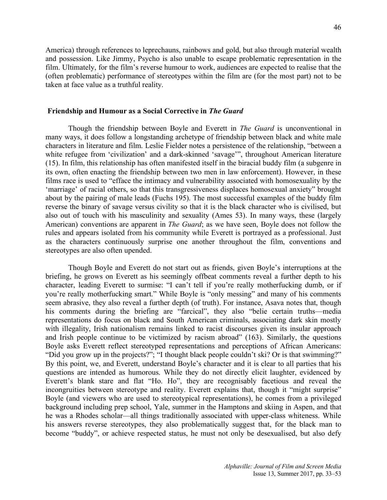America) through references to leprechauns, rainbows and gold, but also through material wealth and possession. Like Jimmy, Psycho is also unable to escape problematic representation in the film. Ultimately, for the film's reverse humour to work, audiences are expected to realise that the (often problematic) performance of stereotypes within the film are (for the most part) not to be taken at face value as a truthful reality.

#### **Friendship and Humour as a Social Corrective in** *The Guard*

Though the friendship between Boyle and Everett in *The Guard* is unconventional in many ways, it does follow a longstanding archetype of friendship between black and white male characters in literature and film. Leslie Fielder notes a persistence of the relationship, "between a white refugee from 'civilization' and a dark-skinned 'savage'", throughout American literature (15). In film, this relationship has often manifested itself in the biracial buddy film (a subgenre in its own, often enacting the friendship between two men in law enforcement). However, in these films race is used to "efface the intimacy and vulnerability associated with homosexuality by the 'marriage' of racial others, so that this transgressiveness displaces homosexual anxiety" brought about by the pairing of male leads (Fuchs 195). The most successful examples of the buddy film reverse the binary of savage versus civility so that it is the black character who is civilised, but also out of touch with his masculinity and sexuality (Ames 53). In many ways, these (largely American) conventions are apparent in *The Guard*; as we have seen, Boyle does not follow the rules and appears isolated from his community while Everett is portrayed as a professional. Just as the characters continuously surprise one another throughout the film, conventions and stereotypes are also often upended.

Though Boyle and Everett do not start out as friends, given Boyle's interruptions at the briefing, he grows on Everett as his seemingly offbeat comments reveal a further depth to his character, leading Everett to surmise: "I can't tell if you're really motherfucking dumb, or if you're really motherfucking smart." While Boyle is "only messing" and many of his comments seem abrasive, they also reveal a further depth (of truth). For instance, Asava notes that, though his comments during the briefing are "farcical", they also "belie certain truths—media representations do focus on black and South American criminals, associating dark skin mostly with illegality, Irish nationalism remains linked to racist discourses given its insular approach and Irish people continue to be victimized by racism abroad" (163). Similarly, the questions Boyle asks Everett reflect stereotyped representations and perceptions of African Americans: "Did you grow up in the projects?"; "I thought black people couldn't ski? Or is that swimming?" By this point, we, and Everett, understand Boyle's character and it is clear to all parties that his questions are intended as humorous. While they do not directly elicit laughter, evidenced by Everett's blank stare and flat "Ho. Ho", they are recognisably facetious and reveal the incongruities between stereotype and reality. Everett explains that, though it "might surprise" Boyle (and viewers who are used to stereotypical representations), he comes from a privileged background including prep school, Yale, summer in the Hamptons and skiing in Aspen, and that he was a Rhodes scholar—all things traditionally associated with upper-class whiteness. While his answers reverse stereotypes, they also problematically suggest that, for the black man to become "buddy", or achieve respected status, he must not only be desexualised, but also defy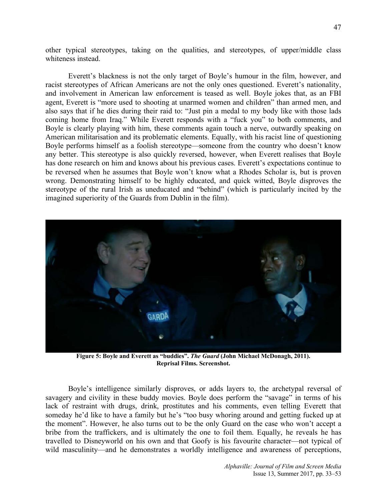other typical stereotypes, taking on the qualities, and stereotypes, of upper/middle class whiteness instead.

Everett's blackness is not the only target of Boyle's humour in the film, however, and racist stereotypes of African Americans are not the only ones questioned. Everett's nationality, and involvement in American law enforcement is teased as well. Boyle jokes that, as an FBI agent, Everett is "more used to shooting at unarmed women and children" than armed men, and also says that if he dies during their raid to: "Just pin a medal to my body like with those lads coming home from Iraq." While Everett responds with a "fuck you" to both comments, and Boyle is clearly playing with him, these comments again touch a nerve, outwardly speaking on American militarisation and its problematic elements. Equally, with his racist line of questioning Boyle performs himself as a foolish stereotype—someone from the country who doesn't know any better. This stereotype is also quickly reversed, however, when Everett realises that Boyle has done research on him and knows about his previous cases. Everett's expectations continue to be reversed when he assumes that Boyle won't know what a Rhodes Scholar is, but is proven wrong. Demonstrating himself to be highly educated, and quick witted, Boyle disproves the stereotype of the rural Irish as uneducated and "behind" (which is particularly incited by the imagined superiority of the Guards from Dublin in the film).



**Figure 5: Boyle and Everett as "buddies".** *The Guard* **(John Michael McDonagh, 2011). Reprisal Films. Screenshot.**

Boyle's intelligence similarly disproves, or adds layers to, the archetypal reversal of savagery and civility in these buddy movies. Boyle does perform the "savage" in terms of his lack of restraint with drugs, drink, prostitutes and his comments, even telling Everett that someday he'd like to have a family but he's "too busy whoring around and getting fucked up at the moment". However, he also turns out to be the only Guard on the case who won't accept a bribe from the traffickers, and is ultimately the one to foil them. Equally, he reveals he has travelled to Disneyworld on his own and that Goofy is his favourite character—not typical of wild masculinity—and he demonstrates a worldly intelligence and awareness of perceptions,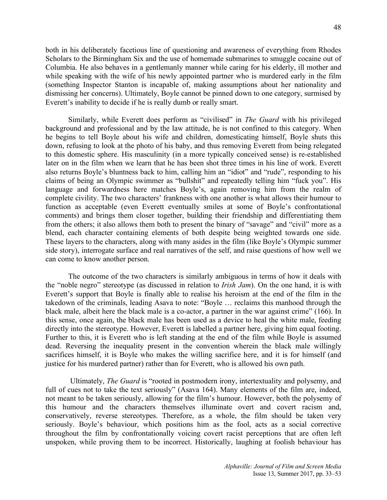both in his deliberately facetious line of questioning and awareness of everything from Rhodes Scholars to the Birmingham Six and the use of homemade submarines to smuggle cocaine out of Columbia. He also behaves in a gentlemanly manner while caring for his elderly, ill mother and while speaking with the wife of his newly appointed partner who is murdered early in the film (something Inspector Stanton is incapable of, making assumptions about her nationality and dismissing her concerns). Ultimately, Boyle cannot be pinned down to one category, surmised by Everett's inability to decide if he is really dumb or really smart.

Similarly, while Everett does perform as "civilised" in *The Guard* with his privileged background and professional and by the law attitude, he is not confined to this category. When he begins to tell Boyle about his wife and children, domesticating himself, Boyle shuts this down, refusing to look at the photo of his baby, and thus removing Everett from being relegated to this domestic sphere. His masculinity (in a more typically conceived sense) is re-established later on in the film when we learn that he has been shot three times in his line of work. Everett also returns Boyle's bluntness back to him, calling him an "idiot" and "rude", responding to his claims of being an Olympic swimmer as "bullshit" and repeatedly telling him "fuck you". His language and forwardness here matches Boyle's, again removing him from the realm of complete civility. The two characters' frankness with one another is what allows their humour to function as acceptable (even Everett eventually smiles at some of Boyle's confrontational comments) and brings them closer together, building their friendship and differentiating them from the others; it also allows them both to present the binary of "savage" and "civil" more as a blend, each character containing elements of both despite being weighted towards one side. These layers to the characters, along with many asides in the film (like Boyle's Olympic summer side story), interrogate surface and real narratives of the self, and raise questions of how well we can come to know another person.

The outcome of the two characters is similarly ambiguous in terms of how it deals with the "noble negro" stereotype (as discussed in relation to *Irish Jam*). On the one hand, it is with Everett's support that Boyle is finally able to realise his heroism at the end of the film in the takedown of the criminals, leading Asava to note: "Boyle … reclaims this manhood through the black male, albeit here the black male is a co-actor, a partner in the war against crime" (166). In this sense, once again, the black male has been used as a device to heal the white male, feeding directly into the stereotype. However, Everett is labelled a partner here, giving him equal footing. Further to this, it is Everett who is left standing at the end of the film while Boyle is assumed dead. Reversing the inequality present in the convention wherein the black male willingly sacrifices himself, it is Boyle who makes the willing sacrifice here, and it is for himself (and justice for his murdered partner) rather than for Everett, who is allowed his own path.

Ultimately, *The Guard* is "rooted in postmodern irony, intertextuality and polysemy, and full of cues not to take the text seriously" (Asava 164). Many elements of the film are, indeed, not meant to be taken seriously, allowing for the film's humour. However, both the polysemy of this humour and the characters themselves illuminate overt and covert racism and, conservatively, reverse stereotypes. Therefore, as a whole, the film should be taken very seriously. Boyle's behaviour, which positions him as the fool, acts as a social corrective throughout the film by confrontationally voicing covert racist perceptions that are often left unspoken, while proving them to be incorrect. Historically, laughing at foolish behaviour has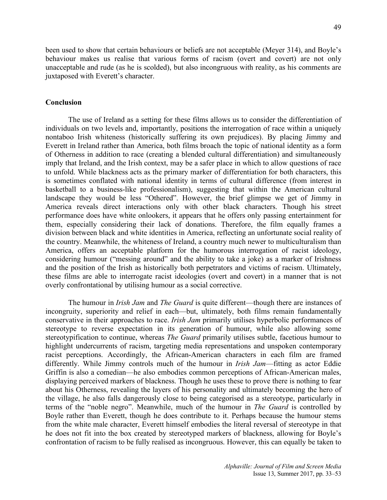been used to show that certain behaviours or beliefs are not acceptable (Meyer 314), and Boyle's behaviour makes us realise that various forms of racism (overt and covert) are not only unacceptable and rude (as he is scolded), but also incongruous with reality, as his comments are juxtaposed with Everett's character.

#### **Conclusion**

The use of Ireland as a setting for these films allows us to consider the differentiation of individuals on two levels and, importantly, positions the interrogation of race within a uniquely nontaboo Irish whiteness (historically suffering its own prejudices). By placing Jimmy and Everett in Ireland rather than America, both films broach the topic of national identity as a form of Otherness in addition to race (creating a blended cultural differentiation) and simultaneously imply that Ireland, and the Irish context, may be a safer place in which to allow questions of race to unfold. While blackness acts as the primary marker of differentiation for both characters, this is sometimes conflated with national identity in terms of cultural difference (from interest in basketball to a business-like professionalism), suggesting that within the American cultural landscape they would be less "Othered". However, the brief glimpse we get of Jimmy in America reveals direct interactions only with other black characters. Though his street performance does have white onlookers, it appears that he offers only passing entertainment for them, especially considering their lack of donations. Therefore, the film equally frames a division between black and white identities in America, reflecting an unfortunate social reality of the country. Meanwhile, the whiteness of Ireland, a country much newer to multiculturalism than America, offers an acceptable platform for the humorous interrogation of racist ideology, considering humour ("messing around" and the ability to take a joke) as a marker of Irishness and the position of the Irish as historically both perpetrators and victims of racism. Ultimately, these films are able to interrogate racist ideologies (overt and covert) in a manner that is not overly confrontational by utilising humour as a social corrective.

The humour in *Irish Jam* and *The Guard* is quite different—though there are instances of incongruity, superiority and relief in each—but, ultimately, both films remain fundamentally conservative in their approaches to race. *Irish Jam* primarily utilises hyperbolic performances of stereotype to reverse expectation in its generation of humour, while also allowing some stereotypification to continue, whereas *The Guard* primarily utilises subtle, facetious humour to highlight undercurrents of racism, targeting media representations and unspoken contemporary racist perceptions. Accordingly, the African-American characters in each film are framed differently. While Jimmy controls much of the humour in *Irish Jam*—fitting as actor Eddie Griffin is also a comedian—he also embodies common perceptions of African-American males, displaying perceived markers of blackness. Though he uses these to prove there is nothing to fear about his Otherness, revealing the layers of his personality and ultimately becoming the hero of the village, he also falls dangerously close to being categorised as a stereotype, particularly in terms of the "noble negro". Meanwhile, much of the humour in *The Guard* is controlled by Boyle rather than Everett, though he does contribute to it. Perhaps because the humour stems from the white male character, Everett himself embodies the literal reversal of stereotype in that he does not fit into the box created by stereotyped markers of blackness, allowing for Boyle's confrontation of racism to be fully realised as incongruous. However, this can equally be taken to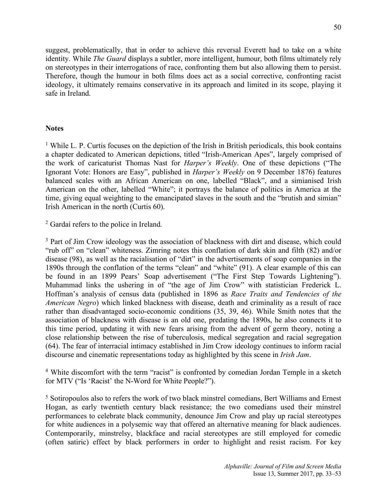suggest, problematically, that in order to achieve this reversal Everett had to take on a white identity. While *The Guard* displays a subtler, more intelligent, humour, both films ultimately rely on stereotypes in their interrogations of race, confronting them but also allowing them to persist. Therefore, though the humour in both films does act as a social corrective, confronting racist ideology, it ultimately remains conservative in its approach and limited in its scope, playing it safe in Ireland.

# **Notes**

<sup>1</sup> While L. P. Curtis focuses on the depiction of the Irish in British periodicals, this book contains a chapter dedicated to American depictions, titled "Irish-American Apes", largely comprised of the work of caricaturist Thomas Nast for *Harper's Weekly*. One of these depictions ("The Ignorant Vote: Honors are Easy", published in *Harper's Weekly* on 9 December 1876) features balanced scales with an African American on one, labelled "Black", and a simianised Irish American on the other, labelled "White"; it portrays the balance of politics in America at the time, giving equal weighting to the emancipated slaves in the south and the "brutish and simian" Irish American in the north (Curtis 60).

<sup>2</sup> Gardaí refers to the police in Ireland.

<sup>3</sup> Part of Jim Crow ideology was the association of blackness with dirt and disease, which could "rub off" on "clean" whiteness. Zimring notes this conflation of dark skin and filth (82) and/or disease (98), as well as the racialisation of "dirt" in the advertisements of soap companies in the 1890s through the conflation of the terms "clean" and "white" (91). A clear example of this can be found in an 1899 Pears' Soap advertisement ("The First Step Towards Lightening"). Muhammad links the ushering in of "the age of Jim Crow" with statistician Frederick L. Hoffman's analysis of census data (published in 1896 as *Race Traits and Tendencies of the American Negro*) which linked blackness with disease, death and criminality as a result of race rather than disadvantaged socio-economic conditions (35, 39, 46). While Smith notes that the association of blackness with disease is an old one, predating the 1890s, he also connects it to this time period, updating it with new fears arising from the advent of germ theory, noting a close relationship between the rise of tuberculosis, medical segregation and racial segregation (64). The fear of interracial intimacy established in Jim Crow ideology continues to inform racial discourse and cinematic representations today as highlighted by this scene in *Irish Jam*.

<sup>4</sup> White discomfort with the term "racist" is confronted by comedian Jordan Temple in a sketch for MTV ("Is 'Racist' the N-Word for White People?").

<sup>5</sup> Sotiropoulos also to refers the work of two black minstrel comedians, Bert Williams and Ernest Hogan, as early twentieth century black resistance; the two comedians used their minstrel performances to celebrate black community, denounce Jim Crow and play up racial stereotypes for white audiences in a polysemic way that offered an alternative meaning for black audiences. Contemporarily, minstrelsy, blackface and racial stereotypes are still employed for comedic (often satiric) effect by black performers in order to highlight and resist racism. For key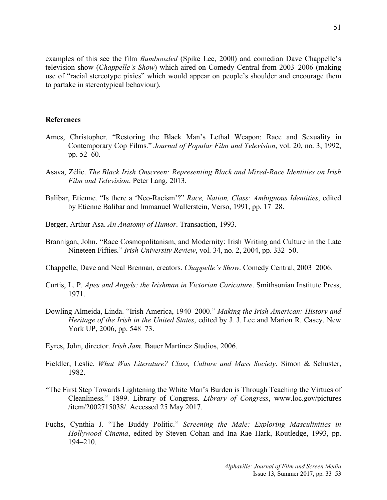examples of this see the film *Bamboozled* (Spike Lee, 2000) and comedian Dave Chappelle's television show (*Chappelle's Show*) which aired on Comedy Central from 2003–2006 (making use of "racial stereotype pixies" which would appear on people's shoulder and encourage them to partake in stereotypical behaviour).

## **References**

- Ames, Christopher. "Restoring the Black Man's Lethal Weapon: Race and Sexuality in Contemporary Cop Films." *Journal of Popular Film and Television*, vol. 20, no. 3, 1992, pp. 52–60.
- Asava, Zélie. *The Black Irish Onscreen: Representing Black and Mixed-Race Identities on Irish Film and Television*. Peter Lang, 2013.
- Balibar, Etienne. "Is there a 'Neo-Racism'?" *Race, Nation, Class: Ambiguous Identities*, edited by Etienne Balibar and Immanuel Wallerstein, Verso, 1991, pp. 17–28.
- Berger, Arthur Asa. *An Anatomy of Humor*. Transaction, 1993.
- Brannigan, John. "Race Cosmopolitanism, and Modernity: Irish Writing and Culture in the Late Nineteen Fifties." *Irish University Review*, vol. 34, no. 2, 2004, pp. 332–50.
- Chappelle, Dave and Neal Brennan, creators. *Chappelle's Show*. Comedy Central, 2003–2006.
- Curtis, L. P. *Apes and Angels: the Irishman in Victorian Caricature*. Smithsonian Institute Press, 1971.
- Dowling Almeida, Linda. "Irish America, 1940–2000." *Making the Irish American: History and Heritage of the Irish in the United States*, edited by J. J. Lee and Marion R. Casey. New York UP, 2006, pp. 548–73.
- Eyres, John, director. *Irish Jam*. Bauer Martinez Studios, 2006.
- Fieldler, Leslie. *What Was Literature? Class, Culture and Mass Society*. Simon & Schuster, 1982.
- "The First Step Towards Lightening the White Man's Burden is Through Teaching the Virtues of Cleanliness." 1899. Library of Congress. *Library of Congress*, www.loc.gov/pictures /item/2002715038/. Accessed 25 May 2017.
- Fuchs, Cynthia J. "The Buddy Politic." *Screening the Male: Exploring Masculinities in Hollywood Cinema*, edited by Steven Cohan and Ina Rae Hark, Routledge, 1993, pp. 194–210.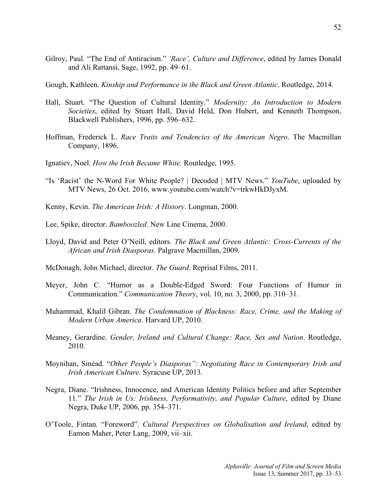- Gilroy, Paul. "The End of Antiracism." *'Race', Culture and Difference*, edited by James Donald and Ali Rattansi, Sage, 1992, pp. 49–61.
- Gough, Kathleen. *Kinship and Performance in the Black and Green Atlantic*. Routledge, 2014.
- Hall, Stuart. "The Question of Cultural Identity." *Modernity: An Introduction to Modern Societies*, edited by Stuart Hall, David Held, Don Hubert, and Kenneth Thompson, Blackwell Publishers, 1996, pp. 596–632.
- Hoffman, Frederick L. *Race Traits and Tendencies of the American Negro*. The Macmillan Company, 1896.
- Ignatiev, Noel. *How the Irish Became White.* Routledge, 1995.
- "Is 'Racist' the N-Word For White People? | Decoded | MTV News." *YouTube*, uploaded by MTV News, 26 Oct. 2016, www.youtube.com/watch?v=trkwHkDJyxM.
- Kenny, Kevin. *The American Irish: A History*. Longman, 2000.
- Lee, Spike, director. *Bamboozled*. New Line Cinema, 2000.
- Lloyd, David and Peter O'Neill, editors. *The Black and Green Atlantic: Cross-Currents of the African and Irish Diasporas*. Palgrave Macmillan, 2009.
- McDonagh, John Michael, director. *The Guard*. Reprisal Films, 2011.
- Meyer, John C. "Humor as a Double-Edged Sword: Four Functions of Humor in Communication." *Communication Theory*, vol. 10, no. 3, 2000, pp. 310–31.
- Muhammad, Khalil Gibran. *The Condemnation of Blackness: Race, Crime, and the Making of Modern Urban America*. Harvard UP, 2010.
- Meaney, Gerardine. *Gender, Ireland and Cultural Change: Race, Sex and Nation*. Routledge, 2010.
- Moynihan, Sinéad. "*Other People's Diasporas": Negotiating Race in Contemporary Irish and Irish American Culture.* Syracuse UP, 2013.
- Negra, Diane. "Irishness, Innocence, and American Identity Politics before and after September 11." *The Irish in Us: Irishness, Performativity, and Popular Culture*, edited by Diane Negra, Duke UP, 2006, pp. 354–371.
- O'Toole, Fintan. "Foreword". *Cultural Perspectives on Globalisation and Ireland*, edited by Eamon Maher, Peter Lang, 2009, vii–xii.